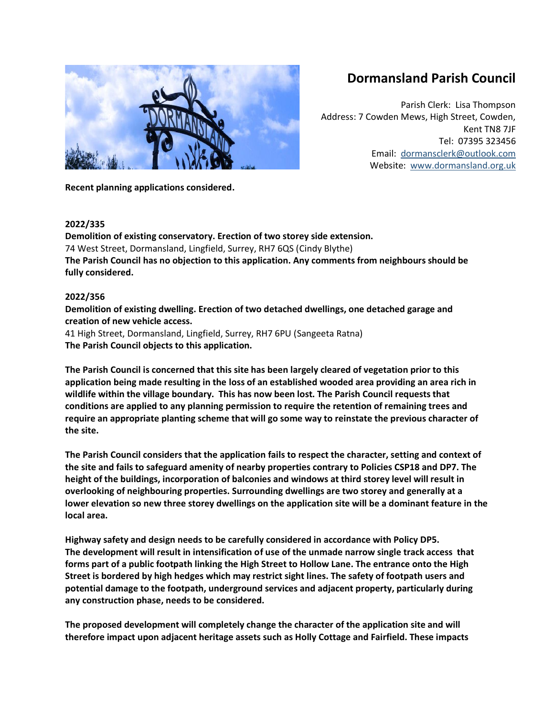# **Dormansland Parish Council**

Parish Clerk: Lisa Thompson Address: 7 Cowden Mews, High Street, Cowden, Kent TN8 7JF Tel: 07395 323456 Email: [dormansclerk@outlook.com](mailto:dormansclerk@outlook.com) Website: [www.dormansland.org.uk](http://www.dormansland.org.uk/)

**Recent planning applications considered.**

## **2022/335**

**Demolition of existing conservatory. Erection of two storey side extension.** 74 West Street, Dormansland, Lingfield, Surrey, RH7 6QS (Cindy Blythe) **The Parish Council has no objection to this application. Any comments from neighbours should be fully considered.**

# **2022/356**

**Demolition of existing dwelling. Erection of two detached dwellings, one detached garage and creation of new vehicle access.**

41 High Street, Dormansland, Lingfield, Surrey, RH7 6PU (Sangeeta Ratna) **The Parish Council objects to this application.** 

**The Parish Council is concerned that this site has been largely cleared of vegetation prior to this application being made resulting in the loss of an established wooded area providing an area rich in wildlife within the village boundary. This has now been lost. The Parish Council requests that conditions are applied to any planning permission to require the retention of remaining trees and require an appropriate planting scheme that will go some way to reinstate the previous character of the site.**

**The Parish Council considers that the application fails to respect the character, setting and context of the site and fails to safeguard amenity of nearby properties contrary to Policies CSP18 and DP7. The height of the buildings, incorporation of balconies and windows at third storey level will result in overlooking of neighbouring properties. Surrounding dwellings are two storey and generally at a lower elevation so new three storey dwellings on the application site will be a dominant feature in the local area.**

**Highway safety and design needs to be carefully considered in accordance with Policy DP5. The development will result in intensification of use of the unmade narrow single track access that forms part of a public footpath linking the High Street to Hollow Lane. The entrance onto the High Street is bordered by high hedges which may restrict sight lines. The safety of footpath users and potential damage to the footpath, underground services and adjacent property, particularly during any construction phase, needs to be considered.** 

**The proposed development will completely change the character of the application site and will therefore impact upon adjacent heritage assets such as Holly Cottage and Fairfield. These impacts**